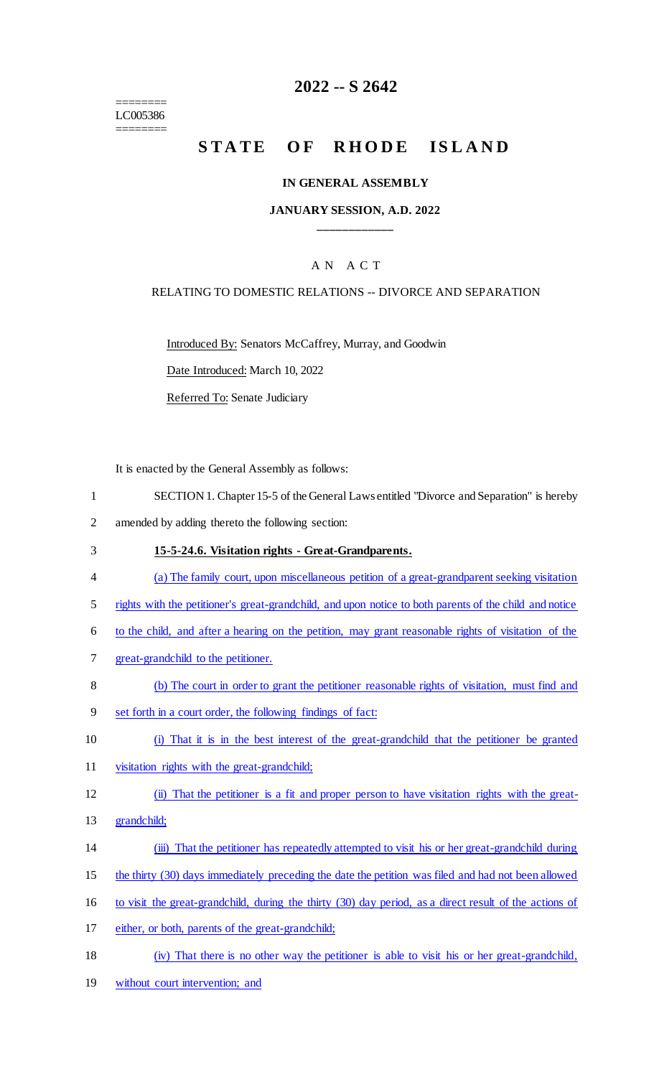======== LC005386 ========

# **2022 -- S 2642**

# STATE OF RHODE ISLAND

#### **IN GENERAL ASSEMBLY**

#### **JANUARY SESSION, A.D. 2022 \_\_\_\_\_\_\_\_\_\_\_\_**

## A N A C T

#### RELATING TO DOMESTIC RELATIONS -- DIVORCE AND SEPARATION

Introduced By: Senators McCaffrey, Murray, and Goodwin

Date Introduced: March 10, 2022

Referred To: Senate Judiciary

It is enacted by the General Assembly as follows:

- 1 SECTION 1. Chapter 15-5 of the General Laws entitled "Divorce and Separation" is hereby
- 2 amended by adding thereto the following section:
- 3 **15-5-24.6. Visitation rights - Great-Grandparents.**
- 4 (a) The family court, upon miscellaneous petition of a great-grandparent seeking visitation
- 5 rights with the petitioner's great-grandchild, and upon notice to both parents of the child and notice
- 6 to the child, and after a hearing on the petition, may grant reasonable rights of visitation of the
- 7 great-grandchild to the petitioner.
- 8 (b) The court in order to grant the petitioner reasonable rights of visitation, must find and
- 9 set forth in a court order, the following findings of fact:
- 10 (i) That it is in the best interest of the great-grandchild that the petitioner be granted
- 11 visitation rights with the great-grandchild;
- 12 (ii) That the petitioner is a fit and proper person to have visitation rights with the great-
- 13 grandchild;
- 14 (iii) That the petitioner has repeatedly attempted to visit his or her great-grandchild during
- 15 the thirty (30) days immediately preceding the date the petition was filed and had not been allowed
- 16 to visit the great-grandchild, during the thirty (30) day period, as a direct result of the actions of
- 17 either, or both, parents of the great-grandchild;
- 18 (iv) That there is no other way the petitioner is able to visit his or her great-grandchild,
- 19 without court intervention; and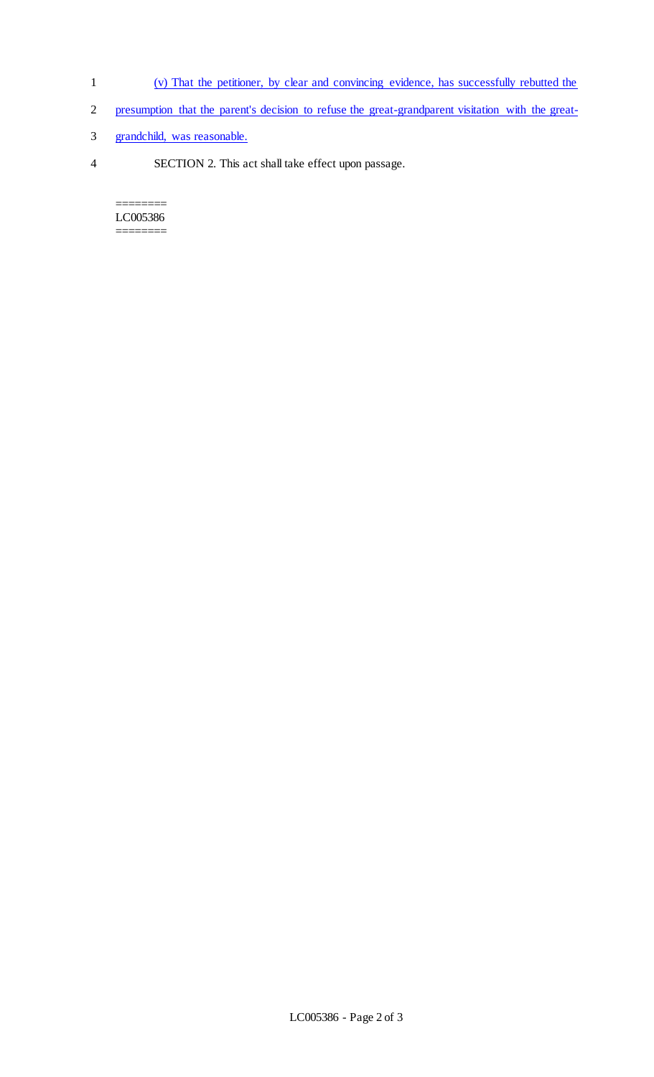- 1 (v) That the petitioner, by clear and convincing evidence, has successfully rebutted the
- 2 presumption that the parent's decision to refuse the great-grandparent visitation with the great-
- 3 grandchild, was reasonable.
- 4 SECTION 2. This act shall take effect upon passage.

======== LC005386 ========